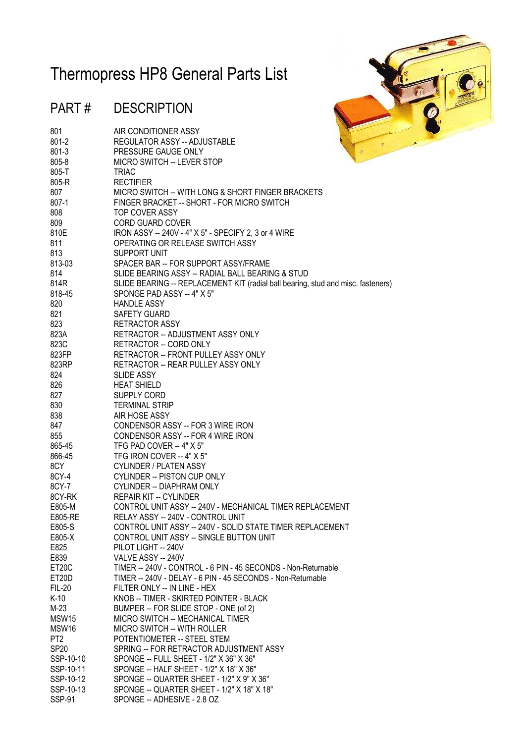## Thermopress HP8 General Parts List

## PART # DESCRIPTION

801 **AIR CONDITIONER ASSY** 



| 801-2                  | REGULATOR ASSY -- ADJUSTABLE                                                                                                 | 冻            |
|------------------------|------------------------------------------------------------------------------------------------------------------------------|--------------|
| $801 - 3$              | PRESSURE GAUGE ONLY                                                                                                          | $\mathcal G$ |
| 805-8                  | <b>MICRO SWITCH -- LEVER STOP</b>                                                                                            |              |
| 805-T                  | <b>TRIAC</b>                                                                                                                 |              |
| 805-R                  | <b>RECTIFIER</b>                                                                                                             |              |
| 807                    | MICRO SWITCH -- WITH LONG & SHORT FINGER BRACKETS                                                                            |              |
| 807-1                  | FINGER BRACKET -- SHORT - FOR MICRO SWITCH                                                                                   |              |
| 808                    | TOP COVER ASSY                                                                                                               |              |
| 809                    | CORD GUARD COVER                                                                                                             |              |
| 810E                   | IRON ASSY -- 240V - 4" X 5" - SPECIFY 2, 3 or 4 WIRE                                                                         |              |
| 811                    | OPERATING OR RELEASE SWITCH ASSY                                                                                             |              |
| 813                    | SUPPORT UNIT                                                                                                                 |              |
| 813-03                 | SPACER BAR -- FOR SUPPORT ASSY/FRAME                                                                                         |              |
| 814                    | SLIDE BEARING ASSY -- RADIAL BALL BEARING & STUD                                                                             |              |
| 814R                   | SLIDE BEARING -- REPLACEMENT KIT (radial ball bearing, stud and misc. fasteners)                                             |              |
| 818-45                 | SPONGE PAD ASSY -- 4" X 5"                                                                                                   |              |
| 820                    | <b>HANDLE ASSY</b>                                                                                                           |              |
| 821                    | <b>SAFETY GUARD</b>                                                                                                          |              |
| 823                    | RETRACTOR ASSY                                                                                                               |              |
| 823A                   | RETRACTOR -- ADJUSTMENT ASSY ONLY                                                                                            |              |
| 823C                   | RETRACTOR -- CORD ONLY                                                                                                       |              |
| 823FP                  | RETRACTOR -- FRONT PULLEY ASSY ONLY                                                                                          |              |
| 823RP                  | RETRACTOR -- REAR PULLEY ASSY ONLY                                                                                           |              |
| 824                    | <b>SLIDE ASSY</b>                                                                                                            |              |
| 826                    | <b>HEAT SHIELD</b>                                                                                                           |              |
| 827                    | SUPPLY CORD                                                                                                                  |              |
| 830                    | <b>TERMINAL STRIP</b>                                                                                                        |              |
| 838                    | AIR HOSE ASSY                                                                                                                |              |
| 847                    | CONDENSOR ASSY -- FOR 3 WIRE IRON                                                                                            |              |
| 855                    | CONDENSOR ASSY -- FOR 4 WIRE IRON                                                                                            |              |
| 865-45                 | TFG PAD COVER -- 4" X 5"                                                                                                     |              |
| 866-45                 | TFG IRON COVER -- 4" X 5"                                                                                                    |              |
| 8CY                    | <b>CYLINDER / PLATEN ASSY</b>                                                                                                |              |
| 8CY-4                  | CYLINDER -- PISTON CUP ONLY                                                                                                  |              |
| 8CY-7                  | <b>CYLINDER -- DIAPHRAM ONLY</b>                                                                                             |              |
| 8CY-RK                 | <b>REPAIR KIT -- CYLINDER</b>                                                                                                |              |
| E805-M                 | CONTROL UNIT ASSY -- 240V - MECHANICAL TIMER REPLACEMENT                                                                     |              |
| E805-RE                | RELAY ASSY -- 240V - CONTROL UNIT                                                                                            |              |
| E805-S                 | CONTROL UNIT ASSY -- 240V - SOLID STATE TIMER REPLACEMENT                                                                    |              |
| E805-X                 | CONTROL UNIT ASSY -- SINGLE BUTTON UNIT                                                                                      |              |
| E825                   | PILOT LIGHT -- 240V<br>VALVE ASSY -- 240V                                                                                    |              |
| E839                   |                                                                                                                              |              |
| ET20C                  | TIMER -- 240V - CONTROL - 6 PIN - 45 SECONDS - Non-Returnable<br>TIMER -- 240V - DELAY - 6 PIN - 45 SECONDS - Non-Returnable |              |
| ET20D<br><b>FIL-20</b> | FILTER ONLY -- IN LINE - HEX                                                                                                 |              |
| $K-10$                 | KNOB -- TIMER - SKIRTED POINTER - BLACK                                                                                      |              |
| $M-23$                 | BUMPER -- FOR SLIDE STOP - ONE (of 2)                                                                                        |              |
| MSW15                  | MICRO SWITCH -- MECHANICAL TIMER                                                                                             |              |
| MSW16                  | <b>MICRO SWITCH -- WITH ROLLER</b>                                                                                           |              |
| PT <sub>2</sub>        | POTENTIOMETER -- STEEL STEM                                                                                                  |              |
| <b>SP20</b>            | SPRING -- FOR RETRACTOR ADJUSTMENT ASSY                                                                                      |              |
| SSP-10-10              | SPONGE -- FULL SHEET - 1/2" X 36" X 36"                                                                                      |              |
| SSP-10-11              | SPONGE -- HALF SHEET - 1/2" X 18" X 36"                                                                                      |              |
| SSP-10-12              | SPONGE -- QUARTER SHEET - 1/2" X 9" X 36"                                                                                    |              |
| SSP-10-13              | SPONGE -- QUARTER SHEET - 1/2" X 18" X 18"                                                                                   |              |
| <b>SSP-91</b>          | SPONGE -- ADHESIVE - 2.8 OZ                                                                                                  |              |
|                        |                                                                                                                              |              |